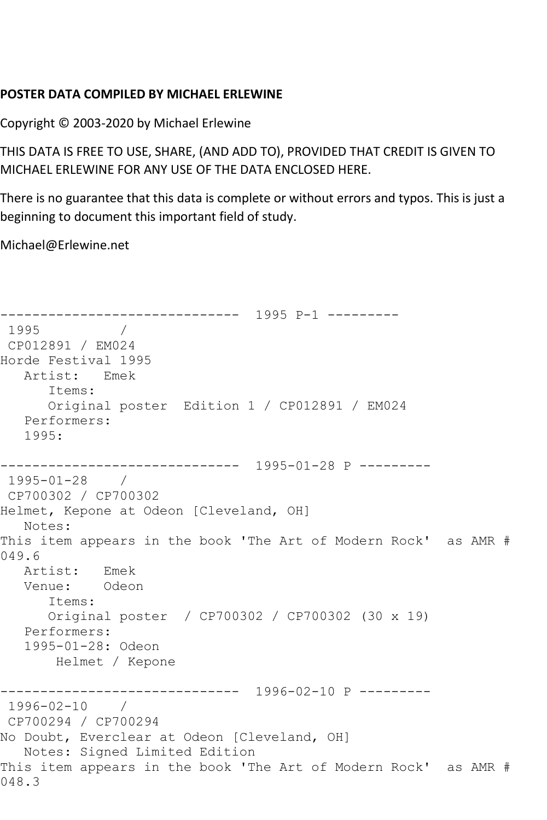## **POSTER DATA COMPILED BY MICHAEL ERLEWINE**

Copyright © 2003-2020 by Michael Erlewine

THIS DATA IS FREE TO USE, SHARE, (AND ADD TO), PROVIDED THAT CREDIT IS GIVEN TO MICHAEL ERLEWINE FOR ANY USE OF THE DATA ENCLOSED HERE.

There is no guarantee that this data is complete or without errors and typos. This is just a beginning to document this important field of study.

Michael@Erlewine.net

```
------------------------------ 1995 P-1 ---------
1995 / 
CP012891 / EM024
Horde Festival 1995
   Artist: Emek
      Items:
      Original poster Edition 1 / CP012891 / EM024
   Performers:
   1995:
------------------------------ 1995-01-28 P ---------
1995-01-28 / 
CP700302 / CP700302
Helmet, Kepone at Odeon [Cleveland, OH]
   Notes: 
This item appears in the book 'The Art of Modern Rock' as AMR # 
049.6
   Artist: Emek
   Venue: Odeon
      Items:
      Original poster / CP700302 / CP700302 (30 x 19)
   Performers:
   1995-01-28: Odeon
       Helmet / Kepone
                ------------------------------ 1996-02-10 P ---------
1996-02-10 / 
CP700294 / CP700294
No Doubt, Everclear at Odeon [Cleveland, OH]
  Notes: Signed Limited Edition
This item appears in the book 'The Art of Modern Rock' as AMR # 
048.3
```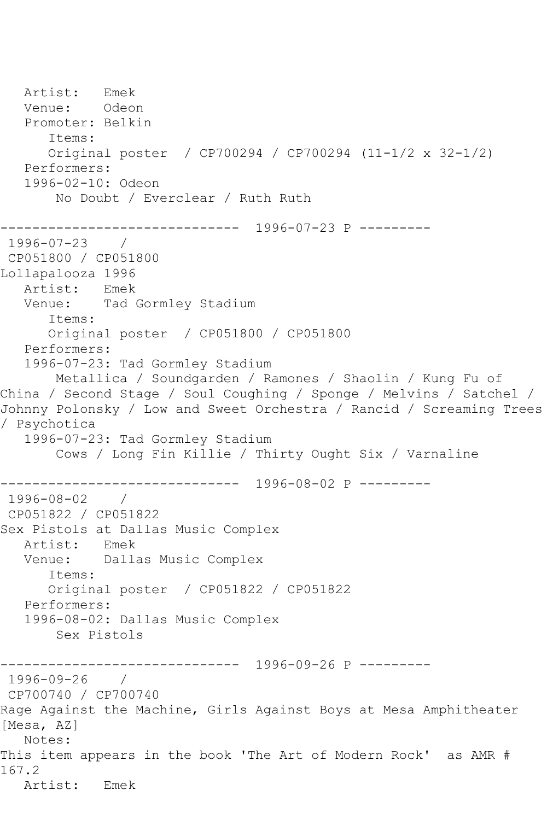Artist: Emek<br>Venue: Odeon Venue: Promoter: Belkin Items: Original poster / CP700294 / CP700294 (11-1/2 x 32-1/2) Performers: 1996-02-10: Odeon No Doubt / Everclear / Ruth Ruth ------------------------------ 1996-07-23 P --------- 1996-07-23 / CP051800 / CP051800 Lollapalooza 1996 Artist: Emek Venue: Tad Gormley Stadium Items: Original poster / CP051800 / CP051800 Performers: 1996-07-23: Tad Gormley Stadium Metallica / Soundgarden / Ramones / Shaolin / Kung Fu of China / Second Stage / Soul Coughing / Sponge / Melvins / Satchel / Johnny Polonsky / Low and Sweet Orchestra / Rancid / Screaming Trees / Psychotica 1996-07-23: Tad Gormley Stadium Cows / Long Fin Killie / Thirty Ought Six / Varnaline ------------------------------ 1996-08-02 P --------- 1996-08-02 / CP051822 / CP051822 Sex Pistols at Dallas Music Complex Artist: Emek Venue: Dallas Music Complex Items: Original poster / CP051822 / CP051822 Performers: 1996-08-02: Dallas Music Complex Sex Pistols ------------------------------ 1996-09-26 P --------- 1996-09-26 / CP700740 / CP700740 Rage Against the Machine, Girls Against Boys at Mesa Amphitheater [Mesa, AZ] Notes: This item appears in the book 'The Art of Modern Rock' as AMR # 167.2 Artist: Emek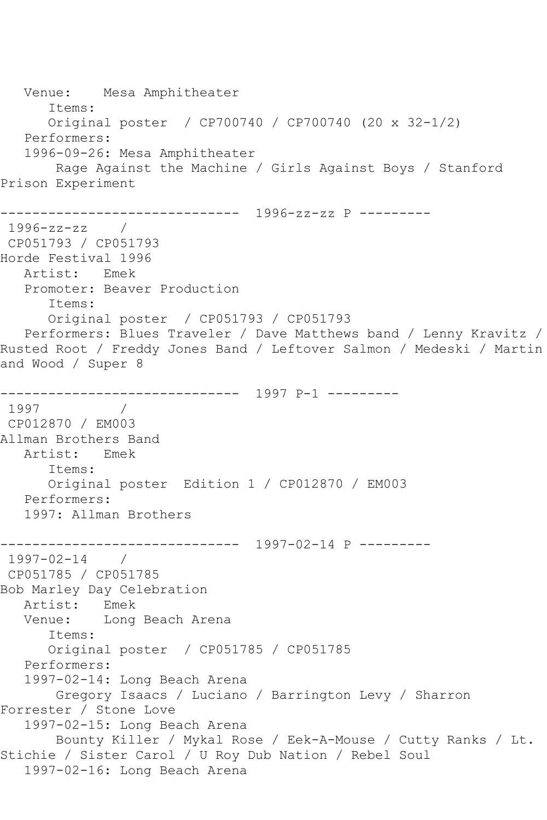Venue: Mesa Amphitheater Items: Original poster / CP700740 / CP700740 (20 x 32-1/2) Performers: 1996-09-26: Mesa Amphitheater Rage Against the Machine / Girls Against Boys / Stanford Prison Experiment ------------------------------ 1996-zz-zz P --------- 1996-zz-zz / CP051793 / CP051793 Horde Festival 1996 Artist: Emek Promoter: Beaver Production Items: Original poster / CP051793 / CP051793 Performers: Blues Traveler / Dave Matthews band / Lenny Kravitz / Rusted Root / Freddy Jones Band / Leftover Salmon / Medeski / Martin and Wood / Super 8 ------------------------------ 1997 P-1 --------- 1997 / CP012870 / EM003 Allman Brothers Band Artist: Emek Items: Original poster Edition 1 / CP012870 / EM003 Performers: 1997: Allman Brothers ------------------------------ 1997-02-14 P --------- 1997-02-14 / CP051785 / CP051785 Bob Marley Day Celebration Artist: Emek<br>Venue: Long Long Beach Arena Items: Original poster / CP051785 / CP051785 Performers: 1997-02-14: Long Beach Arena Gregory Isaacs / Luciano / Barrington Levy / Sharron Forrester / Stone Love 1997-02-15: Long Beach Arena Bounty Killer / Mykal Rose / Eek-A-Mouse / Cutty Ranks / Lt. Stichie / Sister Carol / U Roy Dub Nation / Rebel Soul 1997-02-16: Long Beach Arena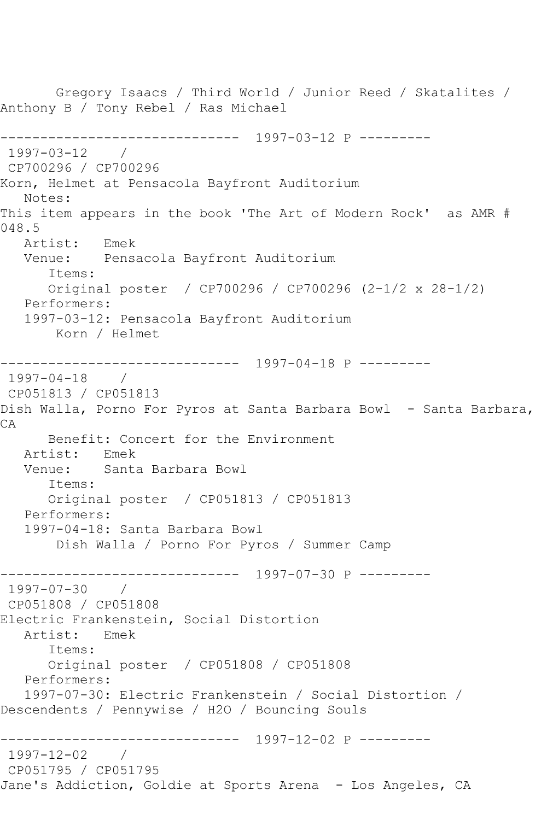Gregory Isaacs / Third World / Junior Reed / Skatalites / Anthony B / Tony Rebel / Ras Michael ------------------------------ 1997-03-12 P --------- 1997-03-12 / CP700296 / CP700296 Korn, Helmet at Pensacola Bayfront Auditorium Notes: This item appears in the book 'The Art of Modern Rock' as AMR # 048.5 Artist: Emek<br>Venue: Pensa Pensacola Bayfront Auditorium Items: Original poster / CP700296 / CP700296 (2-1/2 x 28-1/2) Performers: 1997-03-12: Pensacola Bayfront Auditorium Korn / Helmet ------------------------------ 1997-04-18 P --------- 1997-04-18 / CP051813 / CP051813 Dish Walla, Porno For Pyros at Santa Barbara Bowl - Santa Barbara, CA Benefit: Concert for the Environment<br>ist: Emek Artist:<br>Venue: Santa Barbara Bowl Items: Original poster / CP051813 / CP051813 Performers: 1997-04-18: Santa Barbara Bowl Dish Walla / Porno For Pyros / Summer Camp ------------------------------ 1997-07-30 P ---------  $1997 - 07 - 30$ CP051808 / CP051808 Electric Frankenstein, Social Distortion Artist: Emek Items: Original poster / CP051808 / CP051808 Performers: 1997-07-30: Electric Frankenstein / Social Distortion / Descendents / Pennywise / H2O / Bouncing Souls ------------------------------ 1997-12-02 P --------- 1997-12-02 / CP051795 / CP051795 Jane's Addiction, Goldie at Sports Arena - Los Angeles, CA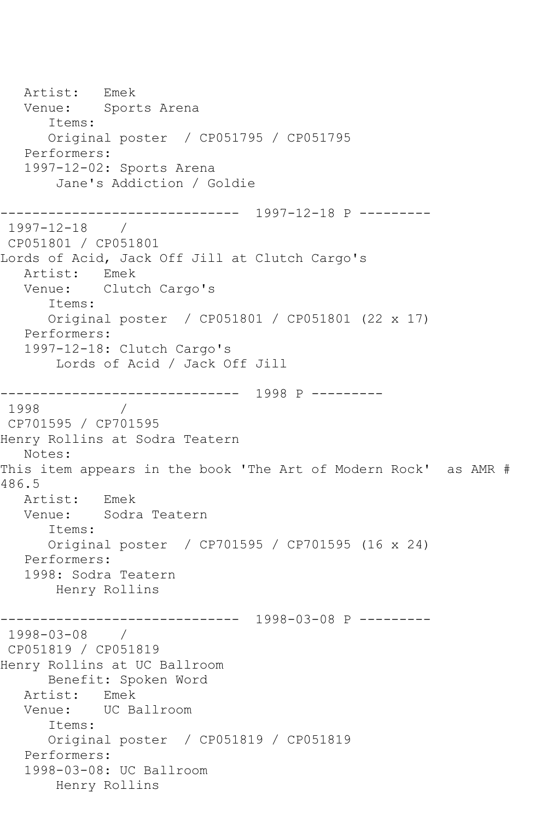Artist: Emek Venue: Sports Arena Items: Original poster / CP051795 / CP051795 Performers: 1997-12-02: Sports Arena Jane's Addiction / Goldie ------------------------------ 1997-12-18 P --------- 1997-12-18 / CP051801 / CP051801 Lords of Acid, Jack Off Jill at Clutch Cargo's Artist: Emek Venue: Clutch Cargo's Items: Original poster / CP051801 / CP051801 (22 x 17) Performers: 1997-12-18: Clutch Cargo's Lords of Acid / Jack Off Jill ------------------------------ 1998 P --------- 1998 / CP701595 / CP701595 Henry Rollins at Sodra Teatern Notes: This item appears in the book 'The Art of Modern Rock' as AMR # 486.5 Artist: Emek Venue: Sodra Teatern Items: Original poster / CP701595 / CP701595 (16 x 24) Performers: 1998: Sodra Teatern Henry Rollins ------------------------------ 1998-03-08 P --------- 1998-03-08 / CP051819 / CP051819 Henry Rollins at UC Ballroom Benefit: Spoken Word Artist: Emek Venue: UC Ballroom Items: Original poster / CP051819 / CP051819 Performers: 1998-03-08: UC Ballroom Henry Rollins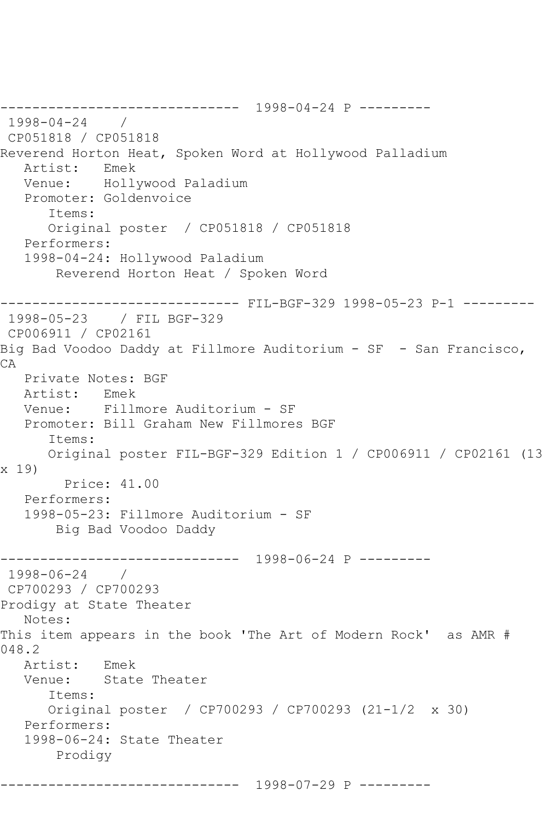------------------------------ 1998-04-24 P --------- 1998-04-24 / CP051818 / CP051818 Reverend Horton Heat, Spoken Word at Hollywood Palladium<br>Artist: Emek Artist: Venue: Hollywood Paladium Promoter: Goldenvoice Items: Original poster / CP051818 / CP051818 Performers: 1998-04-24: Hollywood Paladium Reverend Horton Heat / Spoken Word ------------------------------ FIL-BGF-329 1998-05-23 P-1 --------- 1998-05-23 / FIL BGF-329 CP006911 / CP02161 Big Bad Voodoo Daddy at Fillmore Auditorium - SF - San Francisco, CA Private Notes: BGF Artist: Emek Venue: Fillmore Auditorium - SF Promoter: Bill Graham New Fillmores BGF Items: Original poster FIL-BGF-329 Edition 1 / CP006911 / CP02161 (13 x 19) Price: 41.00 Performers: 1998-05-23: Fillmore Auditorium - SF Big Bad Voodoo Daddy ------------------------------ 1998-06-24 P --------- 1998-06-24 / CP700293 / CP700293 Prodigy at State Theater Notes: This item appears in the book 'The Art of Modern Rock' as AMR # 048.2 Artist: Emek<br>Venue: State State Theater Items: Original poster / CP700293 / CP700293 (21-1/2 x 30) Performers: 1998-06-24: State Theater Prodigy

------------------------------ 1998-07-29 P ---------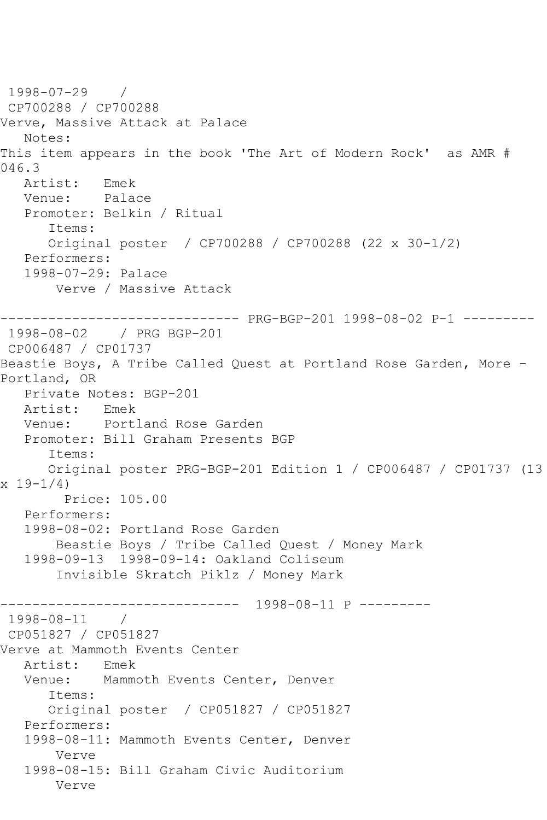1998-07-29 / CP700288 / CP700288 Verve, Massive Attack at Palace Notes: This item appears in the book 'The Art of Modern Rock' as AMR # 046.3 Artist: Emek Venue: Palace Promoter: Belkin / Ritual Items: Original poster / CP700288 / CP700288 (22 x 30-1/2) Performers: 1998-07-29: Palace Verve / Massive Attack ------------------------------ PRG-BGP-201 1998-08-02 P-1 --------- 1998-08-02 / PRG BGP-201 CP006487 / CP01737 Beastie Boys, A Tribe Called Quest at Portland Rose Garden, More - Portland, OR Private Notes: BGP-201<br>Artist: Emek Artist: Venue: Portland Rose Garden Promoter: Bill Graham Presents BGP Items: Original poster PRG-BGP-201 Edition 1 / CP006487 / CP01737 (13  $x 19 - 1/4$  Price: 105.00 Performers: 1998-08-02: Portland Rose Garden Beastie Boys / Tribe Called Quest / Money Mark 1998-09-13 1998-09-14: Oakland Coliseum Invisible Skratch Piklz / Money Mark ------------------------------ 1998-08-11 P --------- 1998-08-11 / CP051827 / CP051827 Verve at Mammoth Events Center Artist: Emek<br>Venue: Mammo Mammoth Events Center, Denver Items: Original poster / CP051827 / CP051827 Performers: 1998-08-11: Mammoth Events Center, Denver Verve 1998-08-15: Bill Graham Civic Auditorium Verve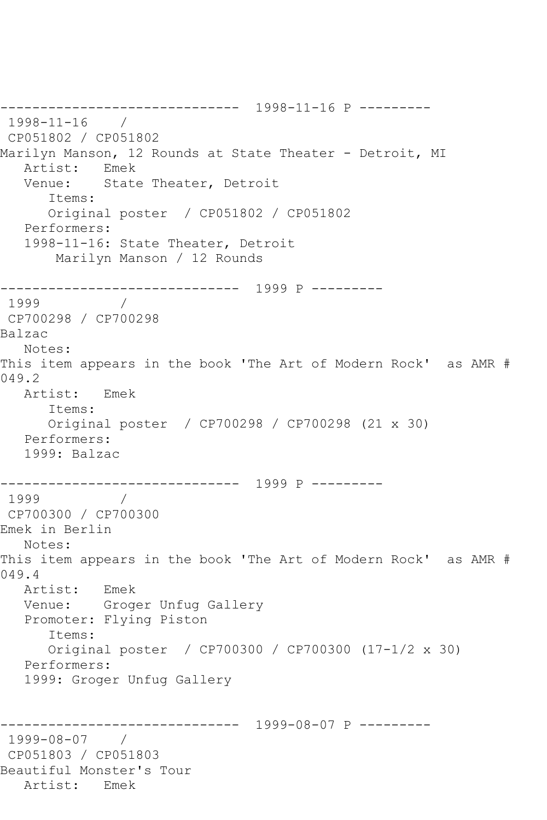------------------------------ 1998-11-16 P --------- 1998-11-16 / CP051802 / CP051802 Marilyn Manson, 12 Rounds at State Theater - Detroit, MI Artist: Emek Venue: State Theater, Detroit Items: Original poster / CP051802 / CP051802 Performers: 1998-11-16: State Theater, Detroit Marilyn Manson / 12 Rounds ------------------------------ 1999 P --------- 1999 / CP700298 / CP700298 Balzac Notes: This item appears in the book 'The Art of Modern Rock' as AMR # 049.2 Artist: Emek Items: Original poster / CP700298 / CP700298 (21 x 30) Performers: 1999: Balzac ------------------------------ 1999 P --------- 1999 / CP700300 / CP700300 Emek in Berlin Notes: This item appears in the book 'The Art of Modern Rock' as AMR # 049.4 Artist: Emek Venue: Groger Unfug Gallery Promoter: Flying Piston Items: Original poster / CP700300 / CP700300 (17-1/2 x 30) Performers: 1999: Groger Unfug Gallery ------------------------------ 1999-08-07 P --------- 1999-08-07 / CP051803 / CP051803 Beautiful Monster's Tour Artist: Emek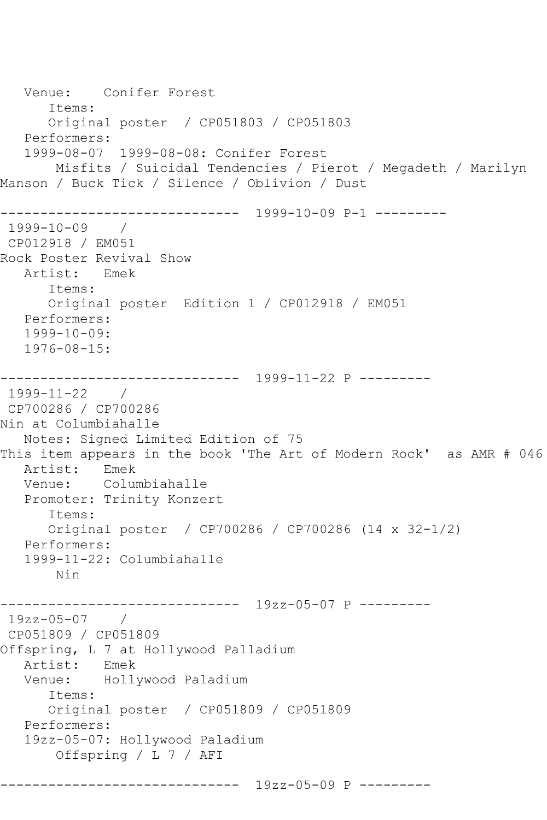Venue: Conifer Forest Items: Original poster / CP051803 / CP051803 Performers: 1999-08-07 1999-08-08: Conifer Forest Misfits / Suicidal Tendencies / Pierot / Megadeth / Marilyn Manson / Buck Tick / Silence / Oblivion / Dust ------------------------------ 1999-10-09 P-1 --------- 1999-10-09 / CP012918 / EM051 Rock Poster Revival Show Artist: Emek Items: Original poster Edition 1 / CP012918 / EM051 Performers: 1999-10-09: 1976-08-15: ------------------------------ 1999-11-22 P --------- 1999-11-22 / CP700286 / CP700286 Nin at Columbiahalle Notes: Signed Limited Edition of 75 This item appears in the book 'The Art of Modern Rock' as AMR # 046 Artist: Emek Venue: Columbiahalle Promoter: Trinity Konzert Items: Original poster / CP700286 / CP700286 (14 x 32-1/2) Performers: 1999-11-22: Columbiahalle Nin ------------------------------ 19zz-05-07 P --------- 19zz-05-07 / CP051809 / CP051809 Offspring, L 7 at Hollywood Palladium Artist: Emek<br>Venue: Holly Hollywood Paladium Items: Original poster / CP051809 / CP051809 Performers: 19zz-05-07: Hollywood Paladium Offspring / L 7 / AFI ------------------------------ 19zz-05-09 P ---------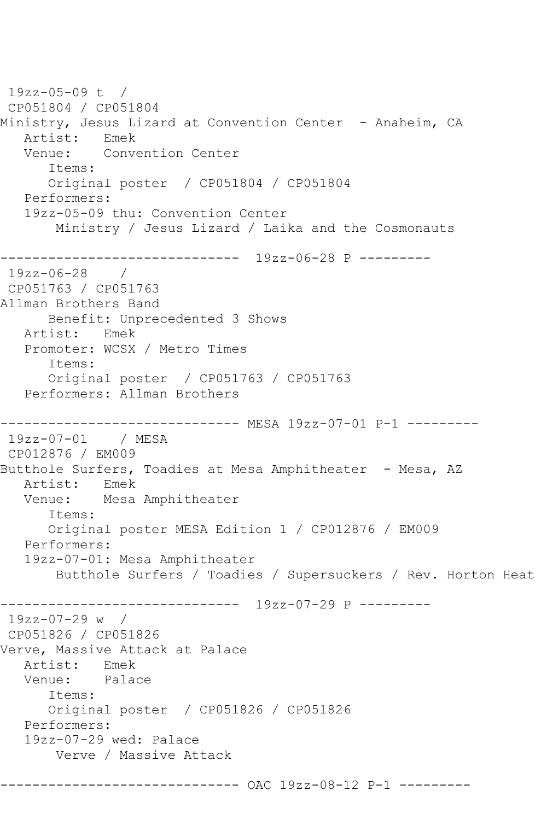19zz-05-09 t / CP051804 / CP051804 Ministry, Jesus Lizard at Convention Center - Anaheim, CA Artist: Emek<br>Venue: Conv Convention Center Items: Original poster / CP051804 / CP051804 Performers: 19zz-05-09 thu: Convention Center Ministry / Jesus Lizard / Laika and the Cosmonauts ------------------------------ 19zz-06-28 P --------- 19zz-06-28 / CP051763 / CP051763 Allman Brothers Band Benefit: Unprecedented 3 Shows Artist: Emek Promoter: WCSX / Metro Times Items: Original poster / CP051763 / CP051763 Performers: Allman Brothers ------------------------------ MESA 19zz-07-01 P-1 --------- 19zz-07-01 / MESA CP012876 / EM009 Butthole Surfers, Toadies at Mesa Amphitheater - Mesa, AZ Artist: Emek Venue: Mesa Amphitheater Items: Original poster MESA Edition 1 / CP012876 / EM009 Performers: 19zz-07-01: Mesa Amphitheater Butthole Surfers / Toadies / Supersuckers / Rev. Horton Heat ------------------------------ 19zz-07-29 P --------- 19zz-07-29 w / CP051826 / CP051826 Verve, Massive Attack at Palace Artist: Emek<br>Venue: Palao Palace Items: Original poster / CP051826 / CP051826 Performers: 19zz-07-29 wed: Palace Verve / Massive Attack ------------------------------ OAC 19zz-08-12 P-1 ---------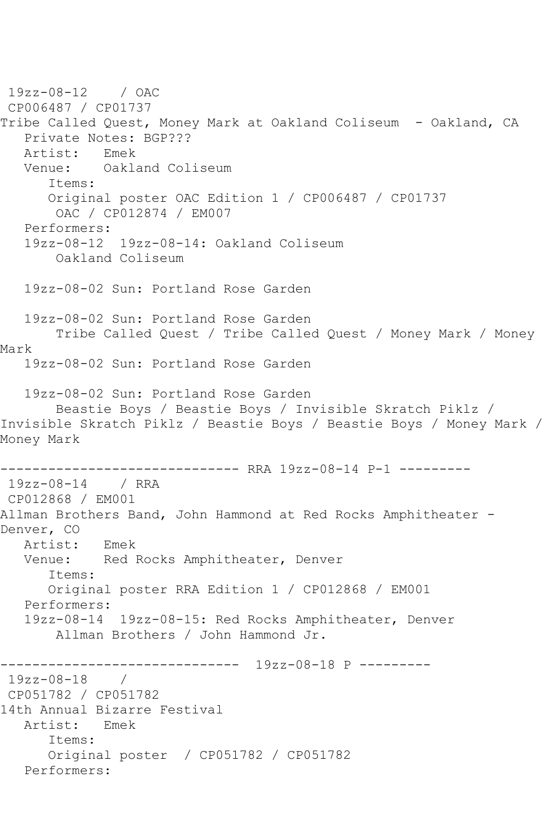19zz-08-12 / OAC CP006487 / CP01737 Tribe Called Quest, Money Mark at Oakland Coliseum - Oakland, CA Private Notes: BGP??? Artist: Emek Venue: Oakland Coliseum Items: Original poster OAC Edition 1 / CP006487 / CP01737 OAC / CP012874 / EM007 Performers: 19zz-08-12 19zz-08-14: Oakland Coliseum Oakland Coliseum 19zz-08-02 Sun: Portland Rose Garden 19zz-08-02 Sun: Portland Rose Garden Tribe Called Quest / Tribe Called Quest / Money Mark / Money Mark 19zz-08-02 Sun: Portland Rose Garden 19zz-08-02 Sun: Portland Rose Garden Beastie Boys / Beastie Boys / Invisible Skratch Piklz / Invisible Skratch Piklz / Beastie Boys / Beastie Boys / Money Mark / Money Mark ------------------------------ RRA 19zz-08-14 P-1 --------- 19zz-08-14 / RRA CP012868 / EM001 Allman Brothers Band, John Hammond at Red Rocks Amphitheater -Denver, CO Artist: Emek Venue: Red Rocks Amphitheater, Denver Items: Original poster RRA Edition 1 / CP012868 / EM001 Performers: 19zz-08-14 19zz-08-15: Red Rocks Amphitheater, Denver Allman Brothers / John Hammond Jr. ------------------------------ 19zz-08-18 P ---------  $19zz-08-18$ CP051782 / CP051782 14th Annual Bizarre Festival Artist: Emek Items: Original poster / CP051782 / CP051782 Performers: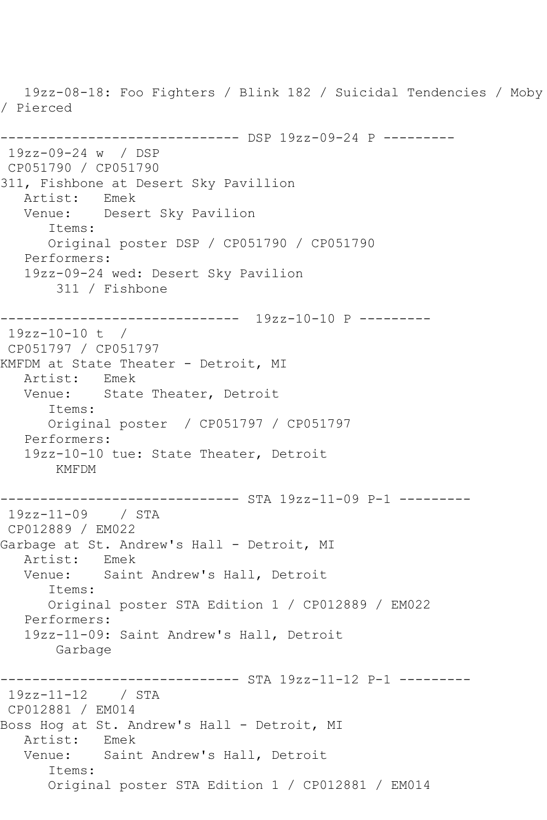19zz-08-18: Foo Fighters / Blink 182 / Suicidal Tendencies / Moby / Pierced ------------------------------ DSP 19zz-09-24 P --------- 19zz-09-24 w / DSP CP051790 / CP051790 311, Fishbone at Desert Sky Pavillion Artist: Emek Venue: Desert Sky Pavilion Items: Original poster DSP / CP051790 / CP051790 Performers: 19zz-09-24 wed: Desert Sky Pavilion 311 / Fishbone ------------------------------ 19zz-10-10 P --------- 19zz-10-10 t / CP051797 / CP051797 KMFDM at State Theater - Detroit, MI Artist: Emek Venue: State Theater, Detroit Items: Original poster / CP051797 / CP051797 Performers: 19zz-10-10 tue: State Theater, Detroit KMFDM ------------------------------ STA 19zz-11-09 P-1 --------- 19zz-11-09 / STA CP012889 / EM022 Garbage at St. Andrew's Hall - Detroit, MI<br>Artist: Emek Artist:<br>Venue: Saint Andrew's Hall, Detroit Items: Original poster STA Edition 1 / CP012889 / EM022 Performers: 19zz-11-09: Saint Andrew's Hall, Detroit Garbage ----------------------------- STA 19zz-11-12 P-1 ----------19zz-11-12 / STA CP012881 / EM014 Boss Hog at St. Andrew's Hall - Detroit, MI Artist: Emek Venue: Saint Andrew's Hall, Detroit Items: Original poster STA Edition 1 / CP012881 / EM014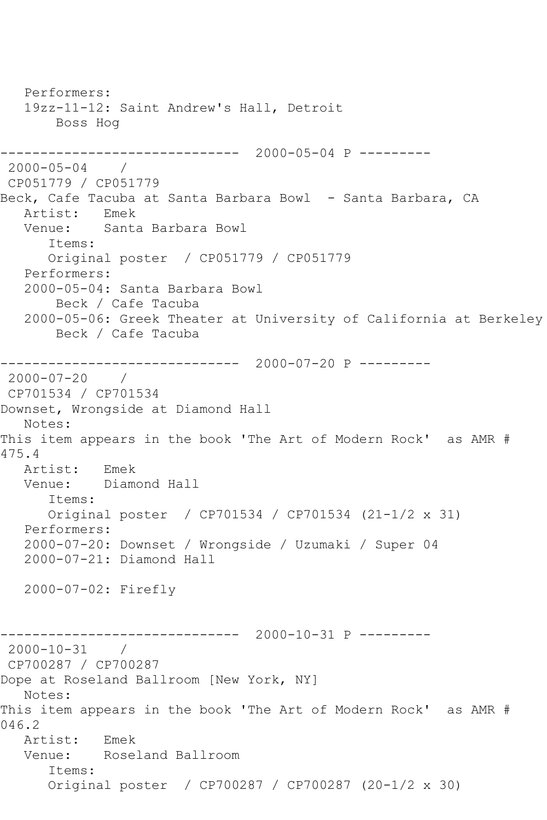Performers: 19zz-11-12: Saint Andrew's Hall, Detroit Boss Hog ------------------------------ 2000-05-04 P --------- 2000-05-04 / CP051779 / CP051779 Beck, Cafe Tacuba at Santa Barbara Bowl - Santa Barbara, CA Artist: Emek Venue: Santa Barbara Bowl Items: Original poster / CP051779 / CP051779 Performers: 2000-05-04: Santa Barbara Bowl Beck / Cafe Tacuba 2000-05-06: Greek Theater at University of California at Berkeley Beck / Cafe Tacuba ------------------------------ 2000-07-20 P --------- 2000-07-20 / CP701534 / CP701534 Downset, Wrongside at Diamond Hall Notes: This item appears in the book 'The Art of Modern Rock' as AMR # 475.4 Artist: Emek Venue: Diamond Hall Items: Original poster / CP701534 / CP701534 (21-1/2 x 31) Performers: 2000-07-20: Downset / Wrongside / Uzumaki / Super 04 2000-07-21: Diamond Hall 2000-07-02: Firefly ------------------------------ 2000-10-31 P --------- 2000-10-31 / CP700287 / CP700287 Dope at Roseland Ballroom [New York, NY] Notes: This item appears in the book 'The Art of Modern Rock' as AMR # 046.2 Artist: Emek Venue: Roseland Ballroom Items: Original poster / CP700287 / CP700287 (20-1/2 x 30)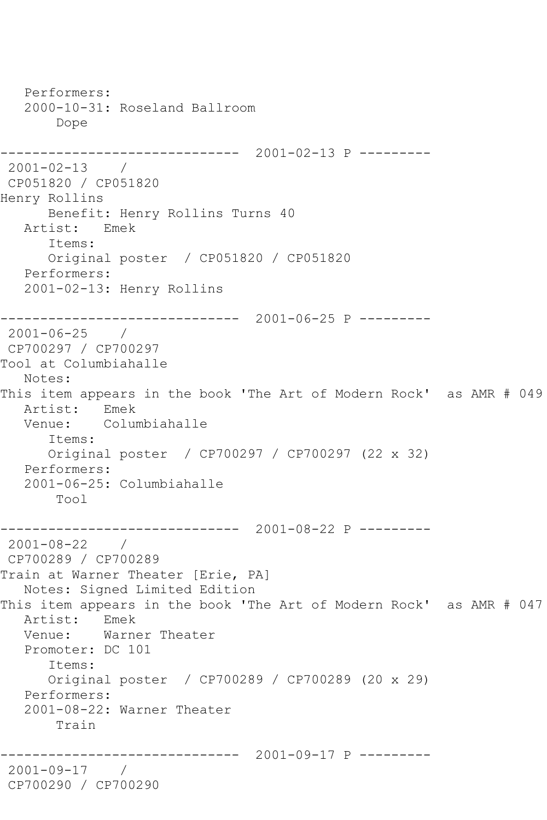```
 Performers:
   2000-10-31: Roseland Ballroom
        Dope
------------------------------ 2001-02-13 P ---------
2001-02-13 / 
CP051820 / CP051820
Henry Rollins
      Benefit: Henry Rollins Turns 40
   Artist: Emek
      Items:
      Original poster / CP051820 / CP051820
   Performers:
   2001-02-13: Henry Rollins
      ------------------------------ 2001-06-25 P ---------
2001-06-25 / 
CP700297 / CP700297
Tool at Columbiahalle
   Notes: 
This item appears in the book 'The Art of Modern Rock' as AMR # 049
   Artist: Emek
   Venue: Columbiahalle
       Items:
      Original poster / CP700297 / CP700297 (22 x 32)
   Performers:
   2001-06-25: Columbiahalle
       Tool
------------------------------ 2001-08-22 P ---------
2001-08-22 / 
CP700289 / CP700289
Train at Warner Theater [Erie, PA]
   Notes: Signed Limited Edition
This item appears in the book 'The Art of Modern Rock' as AMR # 047
   Artist: Emek
   Venue: Warner Theater
   Promoter: DC 101
      Items:
       Original poster / CP700289 / CP700289 (20 x 29)
   Performers:
   2001-08-22: Warner Theater
       Train
                   ------------------------------ 2001-09-17 P ---------
2001-09-17 / 
CP700290 / CP700290
```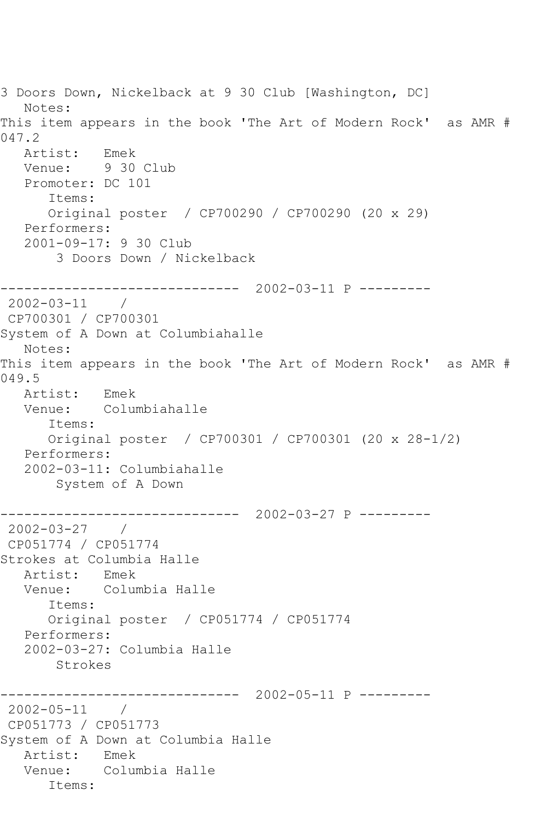```
3 Doors Down, Nickelback at 9 30 Club [Washington, DC]
   Notes: 
This item appears in the book 'The Art of Modern Rock' as AMR # 
047.2
   Artist: Emek
   Venue: 9 30 Club
   Promoter: DC 101
       Items:
       Original poster / CP700290 / CP700290 (20 x 29)
   Performers:
    2001-09-17: 9 30 Club
        3 Doors Down / Nickelback
------------------------------ 2002-03-11 P ---------
2002-03-11 / 
CP700301 / CP700301
System of A Down at Columbiahalle
   Notes: 
This item appears in the book 'The Art of Modern Rock' as AMR # 
049.5
   Artist: Emek
   Venue: Columbiahalle
      Items:
       Original poster / CP700301 / CP700301 (20 x 28-1/2)
   Performers:
    2002-03-11: Columbiahalle
        System of A Down
                ------------------------------ 2002-03-27 P ---------
2002-03-27 / 
CP051774 / CP051774
Strokes at Columbia Halle
  Artist: Emek<br>Venue: Colum
            Columbia Halle
       Items:
       Original poster / CP051774 / CP051774
   Performers:
    2002-03-27: Columbia Halle
        Strokes
                  ------------------------------ 2002-05-11 P ---------
2002-05-11 / 
CP051773 / CP051773
System of A Down at Columbia Halle
   Artist: Emek
   Venue: Columbia Halle
       Items:
```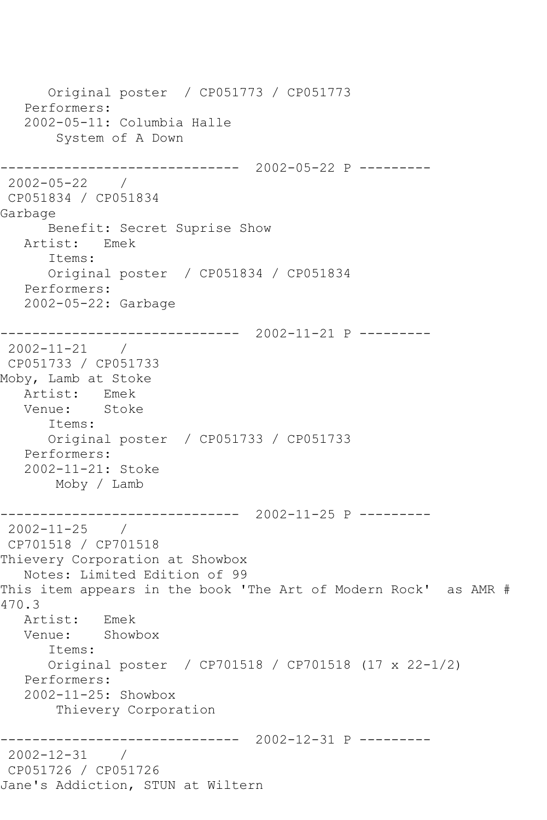Original poster / CP051773 / CP051773 Performers: 2002-05-11: Columbia Halle System of A Down ------------------------------ 2002-05-22 P --------- 2002-05-22 / CP051834 / CP051834 Garbage Benefit: Secret Suprise Show Artist: Emek Items: Original poster / CP051834 / CP051834 Performers: 2002-05-22: Garbage ------------------------------ 2002-11-21 P --------- 2002-11-21 / CP051733 / CP051733 Moby, Lamb at Stoke Artist: Emek Venue: Stoke Items: Original poster / CP051733 / CP051733 Performers: 2002-11-21: Stoke Moby / Lamb ------------------------------ 2002-11-25 P --------- 2002-11-25 / CP701518 / CP701518 Thievery Corporation at Showbox Notes: Limited Edition of 99 This item appears in the book 'The Art of Modern Rock' as AMR # 470.3 Artist: Emek Venue: Showbox Items: Original poster / CP701518 / CP701518 (17 x 22-1/2) Performers: 2002-11-25: Showbox Thievery Corporation ------------------------------ 2002-12-31 P --------- 2002-12-31 / CP051726 / CP051726 Jane's Addiction, STUN at Wiltern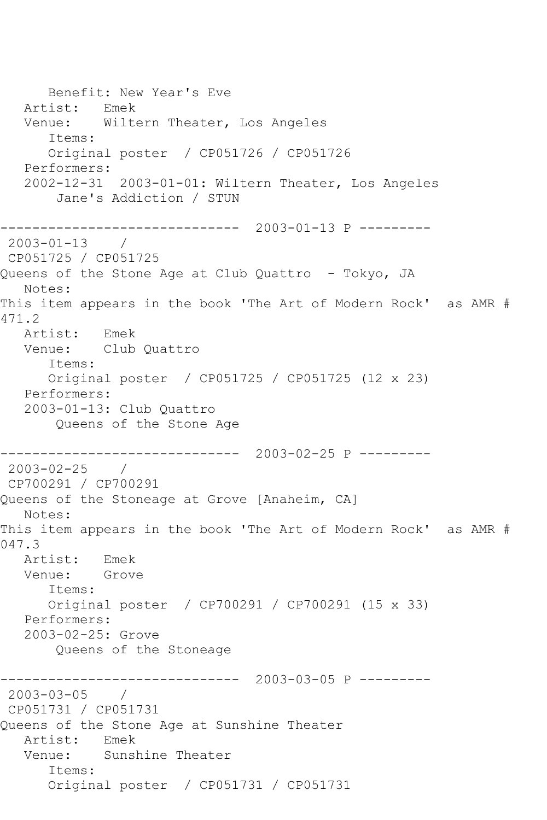Benefit: New Year's Eve Artist: Emek Venue: Wiltern Theater, Los Angeles Items: Original poster / CP051726 / CP051726 Performers: 2002-12-31 2003-01-01: Wiltern Theater, Los Angeles Jane's Addiction / STUN ------------------------------ 2003-01-13 P --------- 2003-01-13 / CP051725 / CP051725 Queens of the Stone Age at Club Quattro - Tokyo, JA Notes: This item appears in the book 'The Art of Modern Rock' as AMR # 471.2 Artist: Emek Venue: Club Quattro Items: Original poster / CP051725 / CP051725 (12 x 23) Performers: 2003-01-13: Club Quattro Queens of the Stone Age ------------------------------ 2003-02-25 P --------- 2003-02-25 / CP700291 / CP700291 Queens of the Stoneage at Grove [Anaheim, CA] Notes: This item appears in the book 'The Art of Modern Rock' as AMR # 047.3 Artist: Emek Venue: Grove Items: Original poster / CP700291 / CP700291 (15 x 33) Performers: 2003-02-25: Grove Queens of the Stoneage ------------------------------ 2003-03-05 P --------- 2003-03-05 / CP051731 / CP051731 Queens of the Stone Age at Sunshine Theater Artist: Emek Venue: Sunshine Theater Items: Original poster / CP051731 / CP051731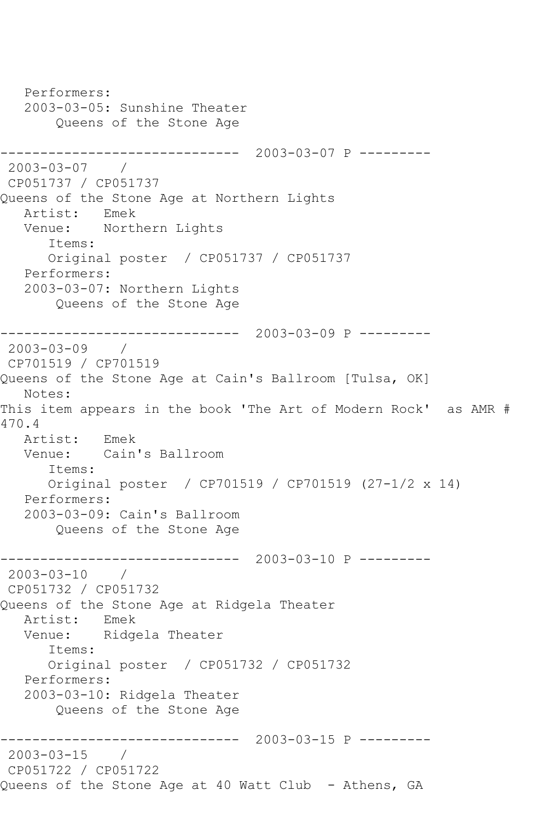Performers: 2003-03-05: Sunshine Theater Queens of the Stone Age ------------------------------ 2003-03-07 P --------- 2003-03-07 / CP051737 / CP051737 Queens of the Stone Age at Northern Lights Artist: Emek<br>Venue: Nortl Northern Lights Items: Original poster / CP051737 / CP051737 Performers: 2003-03-07: Northern Lights Queens of the Stone Age ------------------------------ 2003-03-09 P --------- 2003-03-09 / CP701519 / CP701519 Queens of the Stone Age at Cain's Ballroom [Tulsa, OK] Notes: This item appears in the book 'The Art of Modern Rock' as AMR # 470.4 Artist: Emek Venue: Cain's Ballroom Items: Original poster / CP701519 / CP701519 (27-1/2 x 14) Performers: 2003-03-09: Cain's Ballroom Queens of the Stone Age ------------------------------ 2003-03-10 P --------- 2003-03-10 / CP051732 / CP051732 Queens of the Stone Age at Ridgela Theater Artist: Emek Venue: Ridgela Theater Items: Original poster / CP051732 / CP051732 Performers: 2003-03-10: Ridgela Theater Queens of the Stone Age ------------------------------ 2003-03-15 P --------- 2003-03-15 / CP051722 / CP051722 Queens of the Stone Age at 40 Watt Club - Athens, GA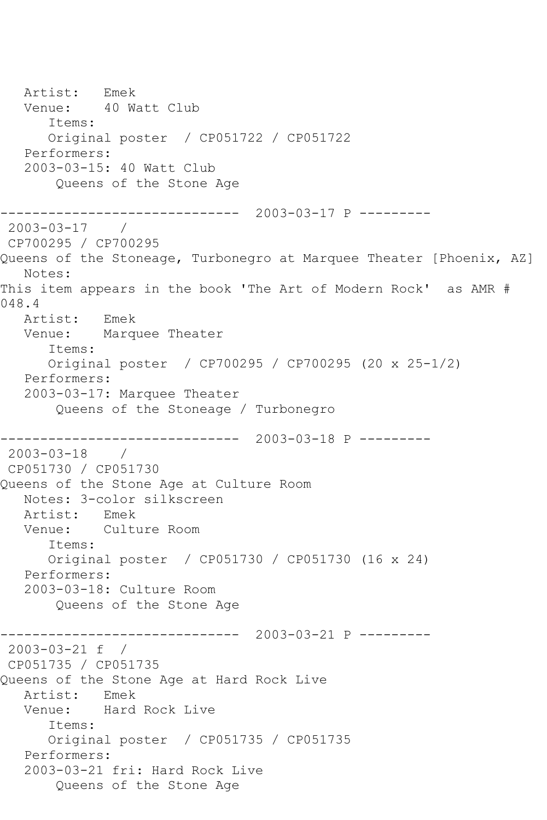Artist: Emek Venue: 40 Watt Club Items: Original poster / CP051722 / CP051722 Performers: 2003-03-15: 40 Watt Club Queens of the Stone Age ------------------------------ 2003-03-17 P --------- 2003-03-17 / CP700295 / CP700295 Oueens of the Stoneage, Turbonegro at Marquee Theater [Phoenix, AZ] Notes: This item appears in the book 'The Art of Modern Rock' as AMR # 048.4 Artist: Emek Venue: Marquee Theater Items: Original poster / CP700295 / CP700295 (20 x 25-1/2) Performers: 2003-03-17: Marquee Theater Queens of the Stoneage / Turbonegro ------------------------------ 2003-03-18 P --------- 2003-03-18 / CP051730 / CP051730 Queens of the Stone Age at Culture Room Notes: 3-color silkscreen Artist: Emek Venue: Culture Room Items: Original poster / CP051730 / CP051730 (16 x 24) Performers: 2003-03-18: Culture Room Queens of the Stone Age ------------------------------ 2003-03-21 P --------- 2003-03-21 f / CP051735 / CP051735 Queens of the Stone Age at Hard Rock Live Artist: Emek Venue: Hard Rock Live Items: Original poster / CP051735 / CP051735 Performers: 2003-03-21 fri: Hard Rock Live Queens of the Stone Age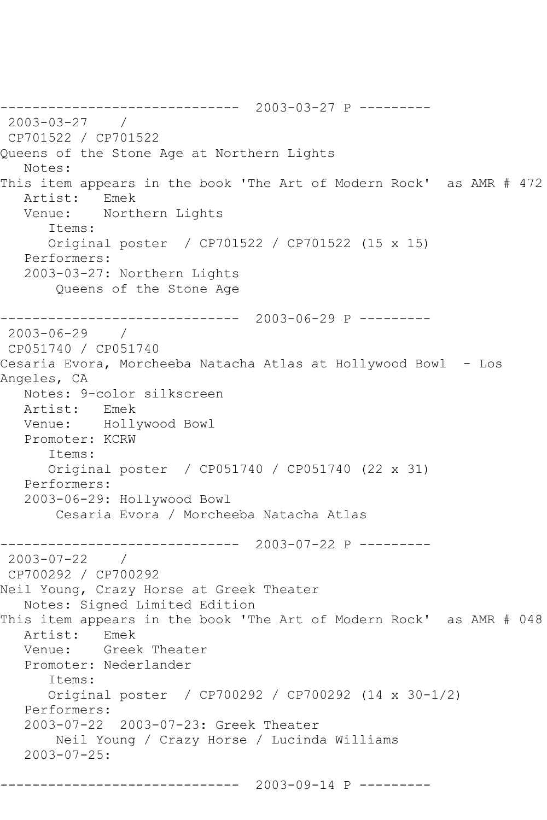------------------------------ 2003-03-27 P --------- 2003-03-27 / CP701522 / CP701522 Queens of the Stone Age at Northern Lights Notes: This item appears in the book 'The Art of Modern Rock' as AMR # 472 Artist: Emek Venue: Northern Lights Items: Original poster / CP701522 / CP701522 (15 x 15) Performers: 2003-03-27: Northern Lights Queens of the Stone Age ------------------------------ 2003-06-29 P --------- 2003-06-29 / CP051740 / CP051740 Cesaria Evora, Morcheeba Natacha Atlas at Hollywood Bowl - Los Angeles, CA Notes: 9-color silkscreen Artist: Emek Venue: Hollywood Bowl Promoter: KCRW Items: Original poster / CP051740 / CP051740 (22 x 31) Performers: 2003-06-29: Hollywood Bowl Cesaria Evora / Morcheeba Natacha Atlas ------------------------------ 2003-07-22 P --------- 2003-07-22 / CP700292 / CP700292 Neil Young, Crazy Horse at Greek Theater Notes: Signed Limited Edition This item appears in the book 'The Art of Modern Rock' as AMR # 048 Artist: Emek Venue: Greek Theater Promoter: Nederlander Items: Original poster / CP700292 / CP700292 (14 x 30-1/2) Performers: 2003-07-22 2003-07-23: Greek Theater Neil Young / Crazy Horse / Lucinda Williams 2003-07-25: ------------------------------ 2003-09-14 P ---------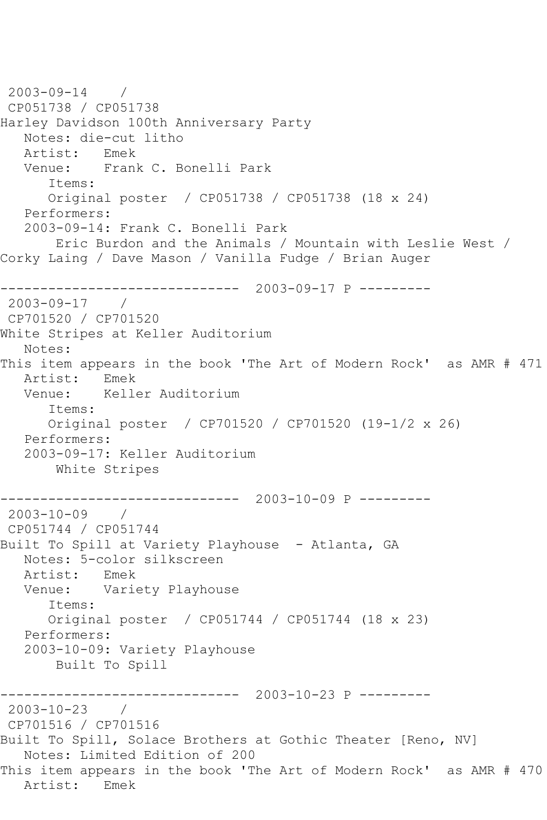2003-09-14 / CP051738 / CP051738 Harley Davidson 100th Anniversary Party Notes: die-cut litho Artist: Emek Venue: Frank C. Bonelli Park Items: Original poster / CP051738 / CP051738 (18 x 24) Performers: 2003-09-14: Frank C. Bonelli Park Eric Burdon and the Animals / Mountain with Leslie West / Corky Laing / Dave Mason / Vanilla Fudge / Brian Auger ------------------------------ 2003-09-17 P --------- 2003-09-17 / CP701520 / CP701520 White Stripes at Keller Auditorium Notes: This item appears in the book 'The Art of Modern Rock' as AMR # 471 Artist: Emek Venue: Keller Auditorium Items: Original poster / CP701520 / CP701520 (19-1/2 x 26) Performers: 2003-09-17: Keller Auditorium White Stripes ------------------------------ 2003-10-09 P --------- 2003-10-09 / CP051744 / CP051744 Built To Spill at Variety Playhouse - Atlanta, GA Notes: 5-color silkscreen<br>Artist: Emek Artist:<br>Venue: Variety Playhouse Items: Original poster / CP051744 / CP051744 (18 x 23) Performers: 2003-10-09: Variety Playhouse Built To Spill ------------------------------ 2003-10-23 P --------- 2003-10-23 / CP701516 / CP701516 Built To Spill, Solace Brothers at Gothic Theater [Reno, NV] Notes: Limited Edition of 200 This item appears in the book 'The Art of Modern Rock' as AMR # 470 Artist: Emek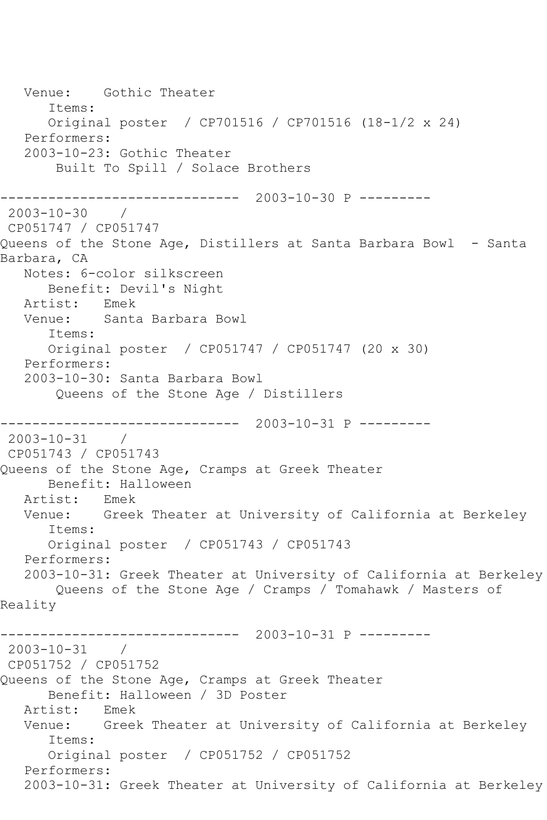Venue: Gothic Theater Items: Original poster / CP701516 / CP701516 (18-1/2 x 24) Performers: 2003-10-23: Gothic Theater Built To Spill / Solace Brothers ------------------------------ 2003-10-30 P --------- 2003-10-30 / CP051747 / CP051747 Queens of the Stone Age, Distillers at Santa Barbara Bowl - Santa Barbara, CA Notes: 6-color silkscreen Benefit: Devil's Night Artist: Emek Venue: Santa Barbara Bowl Items: Original poster / CP051747 / CP051747 (20 x 30) Performers: 2003-10-30: Santa Barbara Bowl Queens of the Stone Age / Distillers ------------------------------ 2003-10-31 P --------- 2003-10-31 / CP051743 / CP051743 Queens of the Stone Age, Cramps at Greek Theater Benefit: Halloween Artist: Emek Venue: Greek Theater at University of California at Berkeley Items: Original poster / CP051743 / CP051743 Performers: 2003-10-31: Greek Theater at University of California at Berkeley Queens of the Stone Age / Cramps / Tomahawk / Masters of Reality ------------------------------ 2003-10-31 P --------- 2003-10-31 / CP051752 / CP051752 Queens of the Stone Age, Cramps at Greek Theater Benefit: Halloween / 3D Poster Artist: Emek Venue: Greek Theater at University of California at Berkeley Items: Original poster / CP051752 / CP051752 Performers: 2003-10-31: Greek Theater at University of California at Berkeley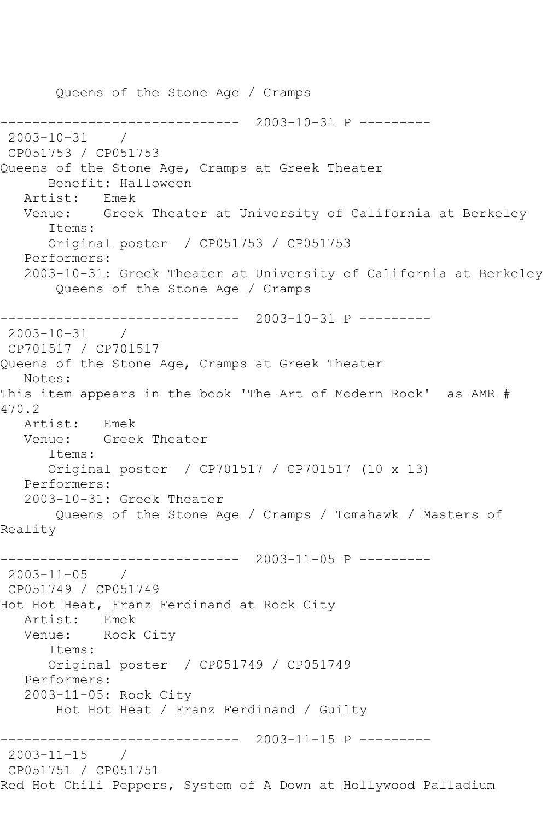Queens of the Stone Age / Cramps ------------------------------ 2003-10-31 P --------- 2003-10-31 / CP051753 / CP051753 Queens of the Stone Age, Cramps at Greek Theater Benefit: Halloween Artist: Emek Venue: Greek Theater at University of California at Berkeley Items: Original poster / CP051753 / CP051753 Performers: 2003-10-31: Greek Theater at University of California at Berkeley Queens of the Stone Age / Cramps ------------------------------ 2003-10-31 P --------- 2003-10-31 / CP701517 / CP701517 Queens of the Stone Age, Cramps at Greek Theater Notes: This item appears in the book 'The Art of Modern Rock' as AMR # 470.2 Artist: Emek Venue: Greek Theater Items: Original poster / CP701517 / CP701517 (10 x 13) Performers: 2003-10-31: Greek Theater Queens of the Stone Age / Cramps / Tomahawk / Masters of Reality ------------------------------ 2003-11-05 P --------- 2003-11-05 / CP051749 / CP051749 Hot Hot Heat, Franz Ferdinand at Rock City Artist: Emek Venue: Rock City Items: Original poster / CP051749 / CP051749 Performers: 2003-11-05: Rock City Hot Hot Heat / Franz Ferdinand / Guilty ------------------------------ 2003-11-15 P --------- 2003-11-15 / CP051751 / CP051751 Red Hot Chili Peppers, System of A Down at Hollywood Palladium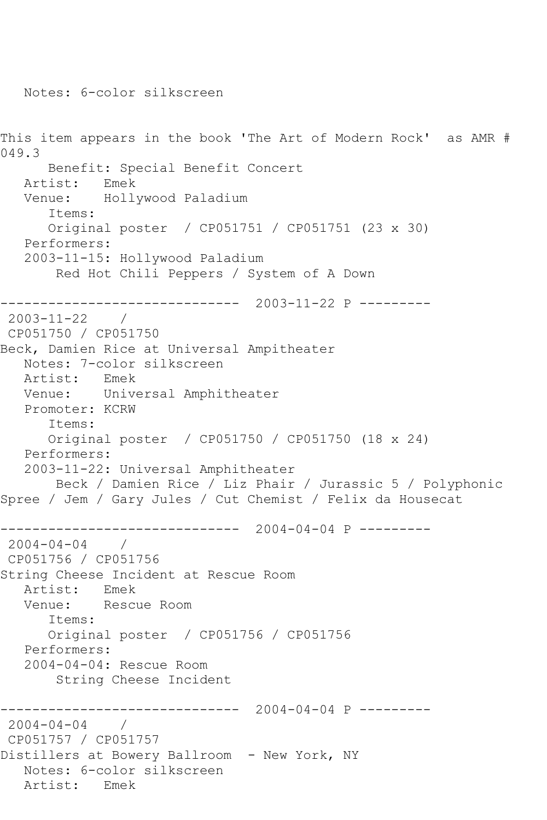This item appears in the book 'The Art of Modern Rock' as AMR # 049.3 Benefit: Special Benefit Concert Artist: Emek Venue: Hollywood Paladium Items: Original poster / CP051751 / CP051751 (23 x 30) Performers: 2003-11-15: Hollywood Paladium Red Hot Chili Peppers / System of A Down ------------------------------ 2003-11-22 P --------- 2003-11-22 / CP051750 / CP051750 Beck, Damien Rice at Universal Ampitheater Notes: 7-color silkscreen<br>Artist: Emek Artist: Venue: Universal Amphitheater Promoter: KCRW Items: Original poster / CP051750 / CP051750 (18 x 24) Performers: 2003-11-22: Universal Amphitheater Beck / Damien Rice / Liz Phair / Jurassic 5 / Polyphonic Spree / Jem / Gary Jules / Cut Chemist / Felix da Housecat ------------------------------ 2004-04-04 P --------- 2004-04-04 / CP051756 / CP051756 String Cheese Incident at Rescue Room Artist: Emek Venue: Rescue Room Items: Original poster / CP051756 / CP051756 Performers: 2004-04-04: Rescue Room String Cheese Incident ------------------------------ 2004-04-04 P --------- 2004-04-04 / CP051757 / CP051757 Distillers at Bowery Ballroom - New York, NY Notes: 6-color silkscreen Artist: Emek

Notes: 6-color silkscreen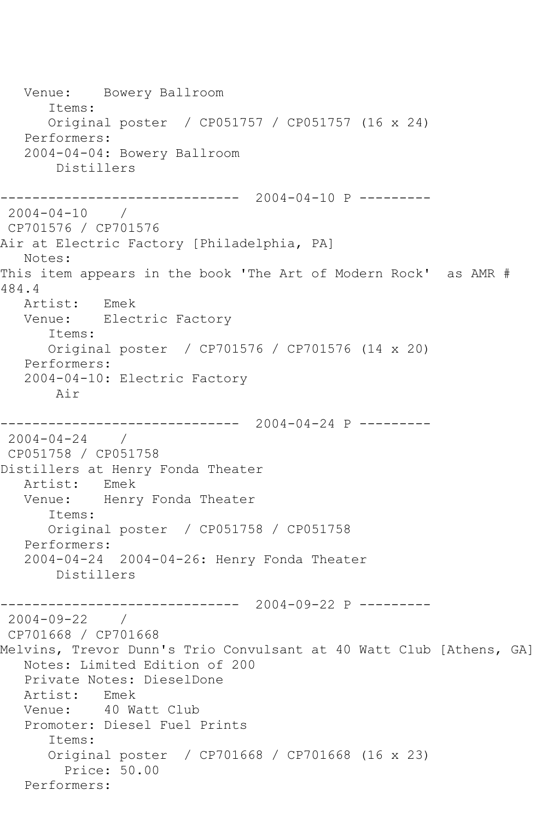Venue: Bowery Ballroom Items: Original poster / CP051757 / CP051757 (16 x 24) Performers: 2004-04-04: Bowery Ballroom Distillers ------------------------------ 2004-04-10 P --------- 2004-04-10 / CP701576 / CP701576 Air at Electric Factory [Philadelphia, PA] Notes: This item appears in the book 'The Art of Modern Rock' as AMR # 484.4 Artist: Emek Venue: Electric Factory Items: Original poster / CP701576 / CP701576 (14 x 20) Performers: 2004-04-10: Electric Factory Air ------------------------------ 2004-04-24 P ---------  $2004 - 04 - 24$ CP051758 / CP051758 Distillers at Henry Fonda Theater<br>Artist: Emek Artist: Venue: Henry Fonda Theater Items: Original poster / CP051758 / CP051758 Performers: 2004-04-24 2004-04-26: Henry Fonda Theater Distillers ------------------------------ 2004-09-22 P --------- 2004-09-22 / CP701668 / CP701668 Melvins, Trevor Dunn's Trio Convulsant at 40 Watt Club [Athens, GA] Notes: Limited Edition of 200 Private Notes: DieselDone Artist: Emek Venue: 40 Watt Club Promoter: Diesel Fuel Prints Items: Original poster / CP701668 / CP701668 (16 x 23) Price: 50.00 Performers: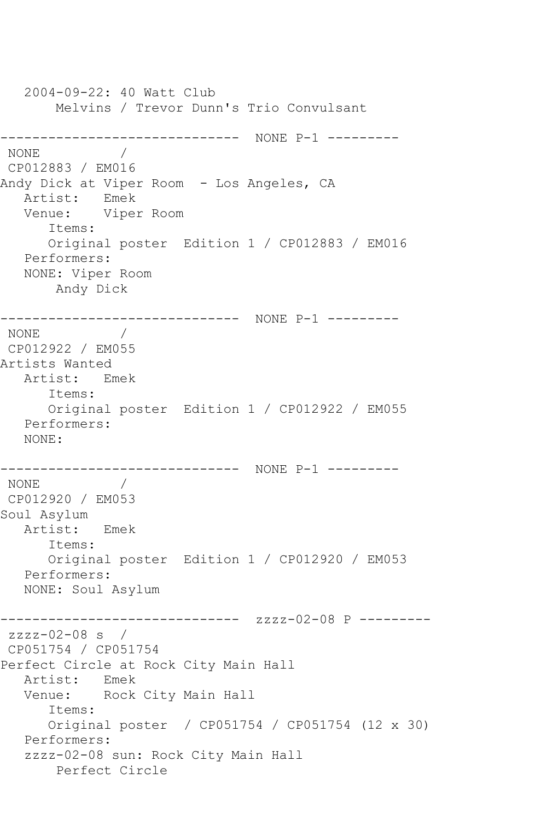2004-09-22: 40 Watt Club Melvins / Trevor Dunn's Trio Convulsant ------------------------------ NONE P-1 --------- NONE / CP012883 / EM016 Andy Dick at Viper Room - Los Angeles, CA<br>Artist: Emek Artist: Venue: Viper Room Items: Original poster Edition 1 / CP012883 / EM016 Performers: NONE: Viper Room Andy Dick ------------------------------ NONE P-1 --------- NONE / CP012922 / EM055 Artists Wanted Artist: Emek Items: Original poster Edition 1 / CP012922 / EM055 Performers: NONE: ------------------------------ NONE P-1 --------- NONE **MODE** CP012920 / EM053 Soul Asylum Artist: Emek Items: Original poster Edition 1 / CP012920 / EM053 Performers: NONE: Soul Asylum ------------------------------ zzzz-02-08 P -------- zzzz-02-08 s / CP051754 / CP051754 Perfect Circle at Rock City Main Hall Artist: Emek Venue: Rock City Main Hall Items: Original poster / CP051754 / CP051754 (12 x 30) Performers: zzzz-02-08 sun: Rock City Main Hall Perfect Circle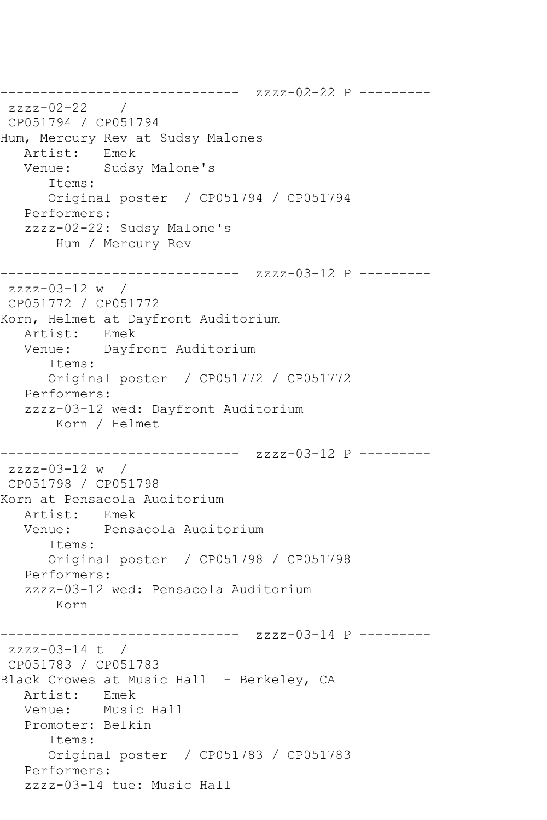------------------------------ zzzz-02-22 P -------- zzzz-02-22 / CP051794 / CP051794 Hum, Mercury Rev at Sudsy Malones Artist: Emek Venue: Sudsy Malone's Items: Original poster / CP051794 / CP051794 Performers: zzzz-02-22: Sudsy Malone's Hum / Mercury Rev ------------------------------ zzzz-03-12 P -------- zzzz-03-12 w / CP051772 / CP051772 Korn, Helmet at Dayfront Auditorium Artist: Emek<br>Venue: Dayf Dayfront Auditorium Items: Original poster / CP051772 / CP051772 Performers: zzzz-03-12 wed: Dayfront Auditorium Korn / Helmet ------------------------------ zzzz-03-12 P -------- zzzz-03-12 w / CP051798 / CP051798 Korn at Pensacola Auditorium Artist: Emek Venue: Pensacola Auditorium Items: Original poster / CP051798 / CP051798 Performers: zzzz-03-12 wed: Pensacola Auditorium Korn ------------------------------ zzzz-03-14 P -------- zzzz-03-14 t / CP051783 / CP051783 Black Crowes at Music Hall - Berkeley, CA Artist: Emek Venue: Music Hall Promoter: Belkin Items: Original poster / CP051783 / CP051783 Performers: zzzz-03-14 tue: Music Hall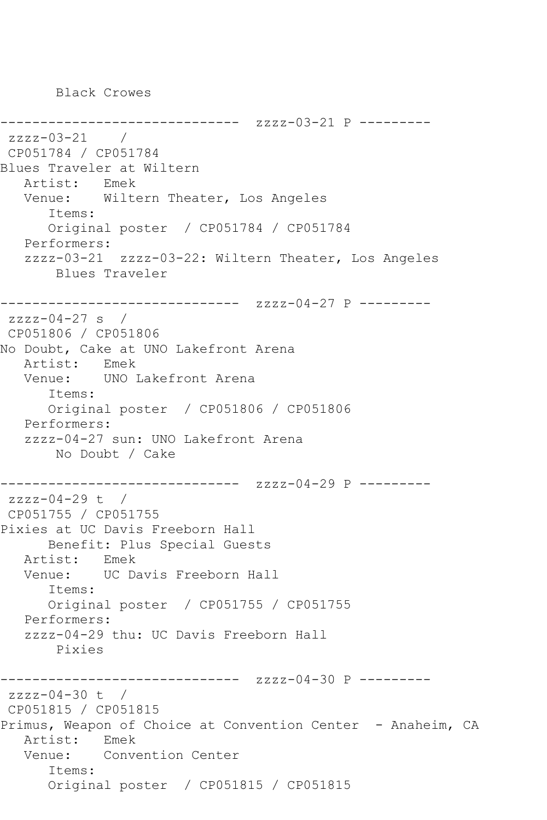Black Crowes

------------------------------ zzzz-03-21 P -------- zzzz-03-21 / CP051784 / CP051784 Blues Traveler at Wiltern Artist: Emek Venue: Wiltern Theater, Los Angeles Items: Original poster / CP051784 / CP051784 Performers: zzzz-03-21 zzzz-03-22: Wiltern Theater, Los Angeles Blues Traveler ------------------------------ zzzz-04-27 P -------- zzzz-04-27 s / CP051806 / CP051806 No Doubt, Cake at UNO Lakefront Arena Artist: Emek Venue: UNO Lakefront Arena Items: Original poster / CP051806 / CP051806 Performers: zzzz-04-27 sun: UNO Lakefront Arena No Doubt / Cake ------------------------------ zzzz-04-29 P -------- zzzz-04-29 t / CP051755 / CP051755 Pixies at UC Davis Freeborn Hall Benefit: Plus Special Guests Artist: Emek Venue: UC Davis Freeborn Hall Items: Original poster / CP051755 / CP051755 Performers: zzzz-04-29 thu: UC Davis Freeborn Hall Pixies ------------------------------ zzzz-04-30 P -------- zzzz-04-30 t / CP051815 / CP051815 Primus, Weapon of Choice at Convention Center - Anaheim, CA Artist: Emek Venue: Convention Center Items: Original poster / CP051815 / CP051815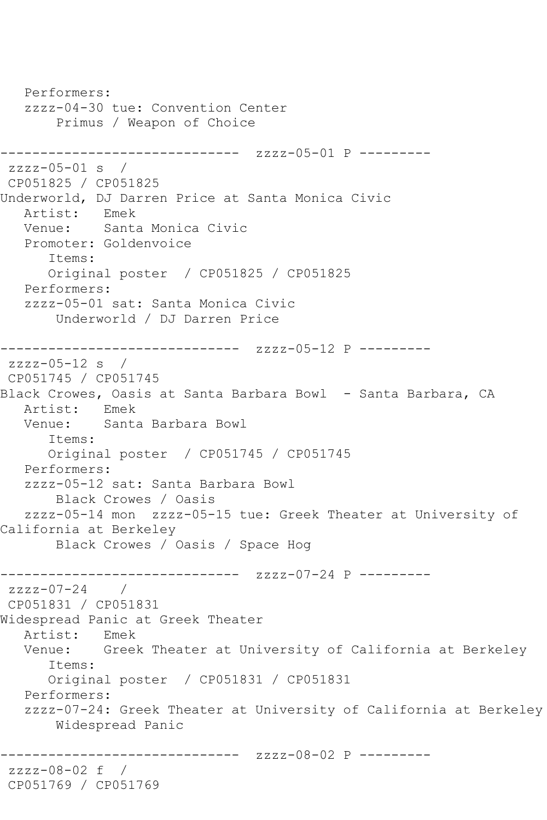Performers: zzzz-04-30 tue: Convention Center Primus / Weapon of Choice ------------------------------ zzzz-05-01 P -------- zzzz-05-01 s / CP051825 / CP051825 Underworld, DJ Darren Price at Santa Monica Civic Artist: Emek Venue: Santa Monica Civic Promoter: Goldenvoice Items: Original poster / CP051825 / CP051825 Performers: zzzz-05-01 sat: Santa Monica Civic Underworld / DJ Darren Price ------------------------------ zzzz-05-12 P -------- zzzz-05-12 s / CP051745 / CP051745 Black Crowes, Oasis at Santa Barbara Bowl - Santa Barbara, CA Artist: Emek Venue: Santa Barbara Bowl Items: Original poster / CP051745 / CP051745 Performers: zzzz-05-12 sat: Santa Barbara Bowl Black Crowes / Oasis zzzz-05-14 mon zzzz-05-15 tue: Greek Theater at University of California at Berkeley Black Crowes / Oasis / Space Hog ------------------------------ zzzz-07-24 P --------  $zzzz-07-24$ CP051831 / CP051831 Widespread Panic at Greek Theater Artist: Emek Venue: Greek Theater at University of California at Berkeley Items: Original poster / CP051831 / CP051831 Performers: zzzz-07-24: Greek Theater at University of California at Berkeley Widespread Panic ------------ zzzz-08-02 P --------zzzz-08-02 f / CP051769 / CP051769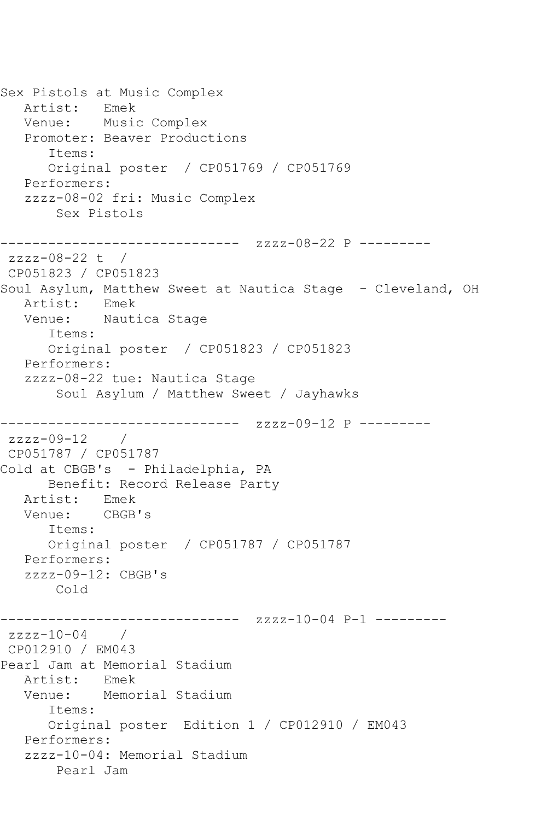Sex Pistols at Music Complex Artist: Emek Venue: Music Complex Promoter: Beaver Productions Items: Original poster / CP051769 / CP051769 Performers: zzzz-08-02 fri: Music Complex Sex Pistols ------------------------------ zzzz-08-22 P -------- zzzz-08-22 t / CP051823 / CP051823 Soul Asylum, Matthew Sweet at Nautica Stage - Cleveland, OH Artist: Emek Venue: Nautica Stage Items: Original poster / CP051823 / CP051823 Performers: zzzz-08-22 tue: Nautica Stage Soul Asylum / Matthew Sweet / Jayhawks ------------------------------ zzzz-09-12 P --------  $zzzz-09-12$ CP051787 / CP051787 Cold at CBGB's - Philadelphia, PA Benefit: Record Release Party Artist: Emek Venue: CBGB's Items: Original poster / CP051787 / CP051787 Performers:  $zzzz-09-12$ : CBGB's Cold ------------------------------ zzzz-10-04 P-1 --------  $zzzz-10-04$  / CP012910 / EM043 Pearl Jam at Memorial Stadium Artist: Venue: Memorial Stadium Items: Original poster Edition 1 / CP012910 / EM043 Performers: zzzz-10-04: Memorial Stadium Pearl Jam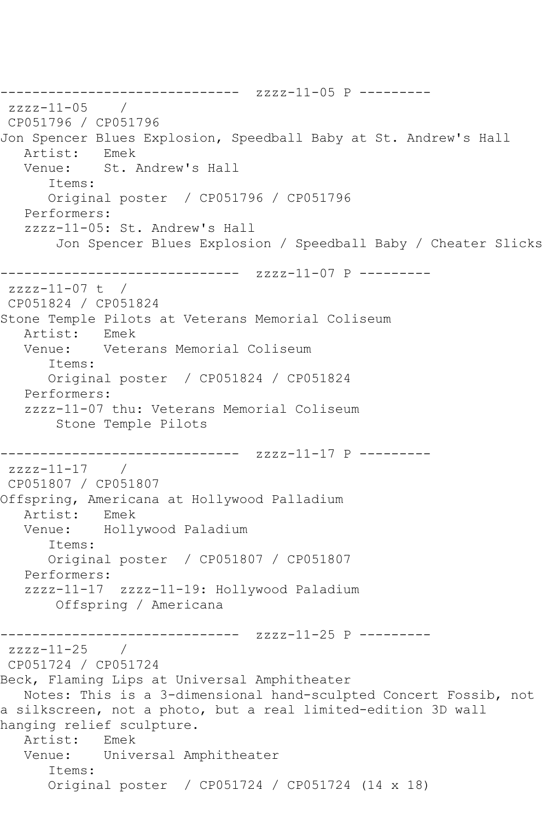```
------------------------------ zzzz-11-05 P ---------
zzzz-11-05 / 
CP051796 / CP051796
Jon Spencer Blues Explosion, Speedball Baby at St. Andrew's Hall
   Artist: Emek
   Venue: St. Andrew's Hall
      Items:
      Original poster / CP051796 / CP051796
   Performers:
   zzzz-11-05: St. Andrew's Hall
        Jon Spencer Blues Explosion / Speedball Baby / Cheater Slicks
------------------------------ zzzz-11-07 P ---------
zzzz-11-07 t / 
CP051824 / CP051824
Stone Temple Pilots at Veterans Memorial Coliseum
  Artist: Emek<br>Venue: Vete
            Veterans Memorial Coliseum
       Items:
      Original poster / CP051824 / CP051824
   Performers:
   zzzz-11-07 thu: Veterans Memorial Coliseum
        Stone Temple Pilots
                 ------------------------------ zzzz-11-17 P ---------
zzzz-11-17 /
CP051807 / CP051807
Offspring, Americana at Hollywood Palladium
   Artist: Emek
   Venue: Hollywood Paladium
       Items:
       Original poster / CP051807 / CP051807
   Performers:
   zzzz-11-17 zzzz-11-19: Hollywood Paladium
        Offspring / Americana
------------------------------ zzzz-11-25 P ---------
zzzz-11-25 / 
CP051724 / CP051724
Beck, Flaming Lips at Universal Amphitheater
   Notes: This is a 3-dimensional hand-sculpted Concert Fossib, not 
a silkscreen, not a photo, but a real limited-edition 3D wall 
hanging relief sculpture.
   Artist: Emek
   Venue: Universal Amphitheater
       Items:
       Original poster / CP051724 / CP051724 (14 x 18)
```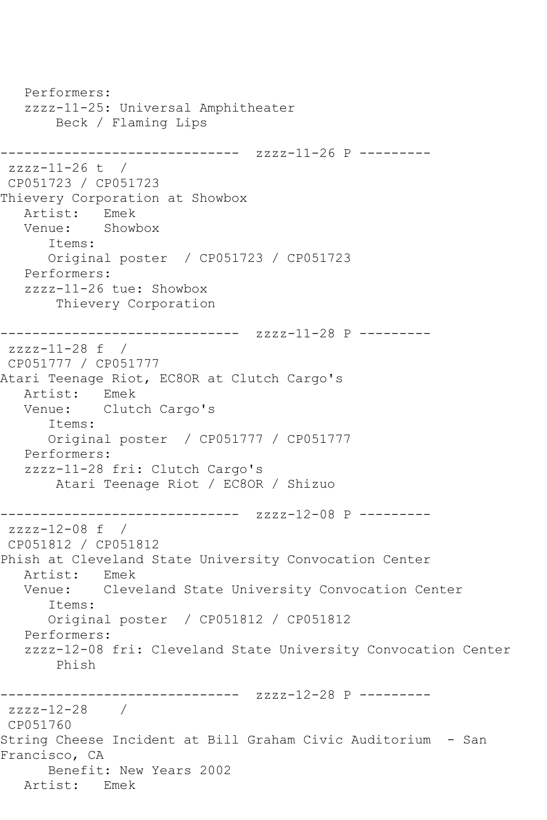```
 Performers:
   zzzz-11-25: Universal Amphitheater
        Beck / Flaming Lips
------------------------------ zzzz-11-26 P ---------
zzzz-11-26 t / 
CP051723 / CP051723
Thievery Corporation at Showbox
  Artist: Emek<br>Venue: Showl
            Showbox
       Items:
      Original poster / CP051723 / CP051723
   Performers:
   zzzz-11-26 tue: Showbox
        Thievery Corporation
------------------------------ zzzz-11-28 P ---------
zzzz-11-28 f / 
CP051777 / CP051777
Atari Teenage Riot, EC8OR at Clutch Cargo's
   Artist: Emek
   Venue: Clutch Cargo's
      Items:
      Original poster / CP051777 / CP051777
   Performers:
   zzzz-11-28 fri: Clutch Cargo's
        Atari Teenage Riot / EC8OR / Shizuo
------------------------------ zzzz-12-08 P ---------
zzzz-12-08 f / 
CP051812 / CP051812
Phish at Cleveland State University Convocation Center
  Artist: Emek<br>Venue: Cleve
           Cleveland State University Convocation Center
       Items:
      Original poster / CP051812 / CP051812
   Performers:
   zzzz-12-08 fri: Cleveland State University Convocation Center
        Phish
------------------------------ zzzz-12-28 P ---------
zzzz-12-28 / 
CP051760
String Cheese Incident at Bill Graham Civic Auditorium - San 
Francisco, CA
      Benefit: New Years 2002
   Artist: Emek
```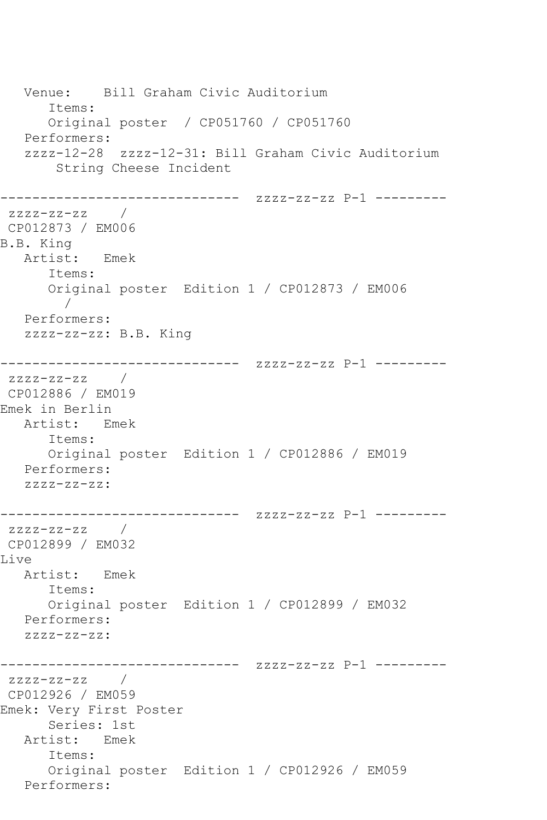```
 Venue: Bill Graham Civic Auditorium
      Items:
      Original poster / CP051760 / CP051760
   Performers:
   zzzz-12-28 zzzz-12-31: Bill Graham Civic Auditorium
       String Cheese Incident
------------------------------ zzzz-zz-zz P-1 ---------
zzzz-zz-zz / 
CP012873 / EM006
B.B. King
   Artist: Emek
      Items:
      Original poster Edition 1 / CP012873 / EM006
 / 
   Performers:
   zzzz-zz-zz: B.B. King
------------------------------ zzzz-zz-zz P-1 ---------
zzzz-zz-zz /
CP012886 / EM019
Emek in Berlin
   Artist: Emek
      Items:
      Original poster Edition 1 / CP012886 / EM019
   Performers:
   zzzz-zz-zz:
------------------------------ zzzz-zz-zz P-1 ---------
zzzz-zz-zz / 
CP012899 / EM032
Live
   Artist: Emek
      Items:
      Original poster Edition 1 / CP012899 / EM032
   Performers:
   zzzz-zz-zz:
------------------------------ zzzz-zz-zz P-1 ---------
zzzz-zz-zz /
CP012926 / EM059
Emek: Very First Poster
      Series: 1st
   Artist: Emek
      Items:
      Original poster Edition 1 / CP012926 / EM059
   Performers:
```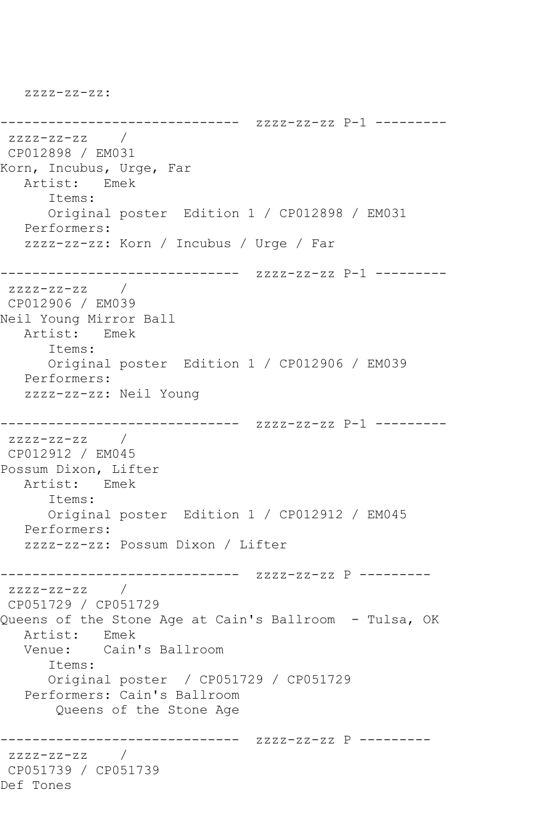zzzz-zz-zz:

```
------------------------------ zzzz-zz-zz P-1 ---------
zzzz-zz-zz / 
CP012898 / EM031
Korn, Incubus, Urge, Far
   Artist: Emek
      Items:
      Original poster Edition 1 / CP012898 / EM031
   Performers:
   zzzz-zz-zz: Korn / Incubus / Urge / Far
------------------------------ zzzz-zz-zz P-1 ---------
zzzz-zz-zz / 
CP012906 / EM039
Neil Young Mirror Ball
   Artist: Emek
      Items:
      Original poster Edition 1 / CP012906 / EM039
   Performers:
   zzzz-zz-zz: Neil Young
------------------------------ zzzz-zz-zz P-1 ---------
zzzz-zz-zz / 
CP012912 / EM045
Possum Dixon, Lifter
   Artist: Emek
      Items:
      Original poster Edition 1 / CP012912 / EM045
   Performers:
   zzzz-zz-zz: Possum Dixon / Lifter
------------------------------ zzzz-zz-zz P ---------
ZZZZ-ZZ-ZZCP051729 / CP051729
Queens of the Stone Age at Cain's Ballroom - Tulsa, OK
   Artist: Emek
   Venue: Cain's Ballroom
      Items:
      Original poster / CP051729 / CP051729
   Performers: Cain's Ballroom
       Queens of the Stone Age
------------------------------ zzzz-zz-zz P ---------
zzzz-zz-zz / 
CP051739 / CP051739
Def Tones
```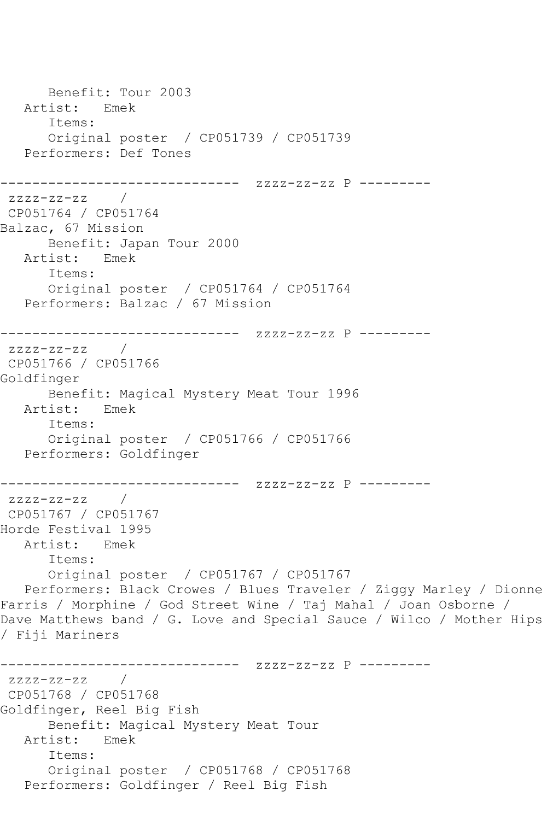Benefit: Tour 2003 Artist: Emek Items: Original poster / CP051739 / CP051739 Performers: Def Tones ------------------------------ zzzz-zz-zz P -------- zzzz-zz-zz / CP051764 / CP051764 Balzac, 67 Mission Benefit: Japan Tour 2000 Artist: Emek Items: Original poster / CP051764 / CP051764 Performers: Balzac / 67 Mission ------------------------------ zzzz-zz-zz P ---------  $ZZZ-ZZ-ZZ$ CP051766 / CP051766 Goldfinger Benefit: Magical Mystery Meat Tour 1996 Artist: Emek Items: Original poster / CP051766 / CP051766 Performers: Goldfinger ------------------------------ zzzz-zz-zz P -------- zzzz-zz-zz / CP051767 / CP051767 Horde Festival 1995 Artist: Emek Items: Original poster / CP051767 / CP051767 Performers: Black Crowes / Blues Traveler / Ziggy Marley / Dionne Farris / Morphine / God Street Wine / Taj Mahal / Joan Osborne / Dave Matthews band / G. Love and Special Sauce / Wilco / Mother Hips / Fiji Mariners ------------------------------ zzzz-zz-zz P -------- zzzz-zz-zz / CP051768 / CP051768 Goldfinger, Reel Big Fish Benefit: Magical Mystery Meat Tour Artist: Emek Items: Original poster / CP051768 / CP051768 Performers: Goldfinger / Reel Big Fish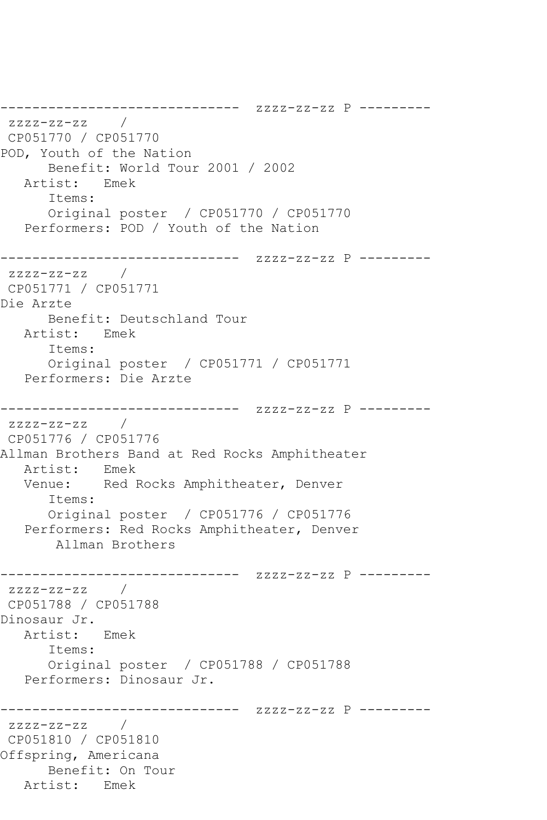------------------------------ zzzz-zz-zz P -------- zzzz-zz-zz / CP051770 / CP051770 POD, Youth of the Nation Benefit: World Tour 2001 / 2002 Artist: Emek Items: Original poster / CP051770 / CP051770 Performers: POD / Youth of the Nation ------------------------------ zzzz-zz-zz P -------- zzzz-zz-zz / CP051771 / CP051771 Die Arzte Benefit: Deutschland Tour Artist: Emek Items: Original poster / CP051771 / CP051771 Performers: Die Arzte ------------------------------ zzzz-zz-zz P -------- zzzz-zz-zz / CP051776 / CP051776 Allman Brothers Band at Red Rocks Amphitheater Artist: Emek Venue: Red Rocks Amphitheater, Denver Items: Original poster / CP051776 / CP051776 Performers: Red Rocks Amphitheater, Denver Allman Brothers ------------------------------ zzzz-zz-zz P ---------  $ZZZ-ZZ-ZZ$ CP051788 / CP051788 Dinosaur Jr. Artist: Emek Items: Original poster / CP051788 / CP051788 Performers: Dinosaur Jr. ------------------------------ zzzz-zz-zz P -------- zzzz-zz-zz / CP051810 / CP051810 Offspring, Americana Benefit: On Tour Artist: Emek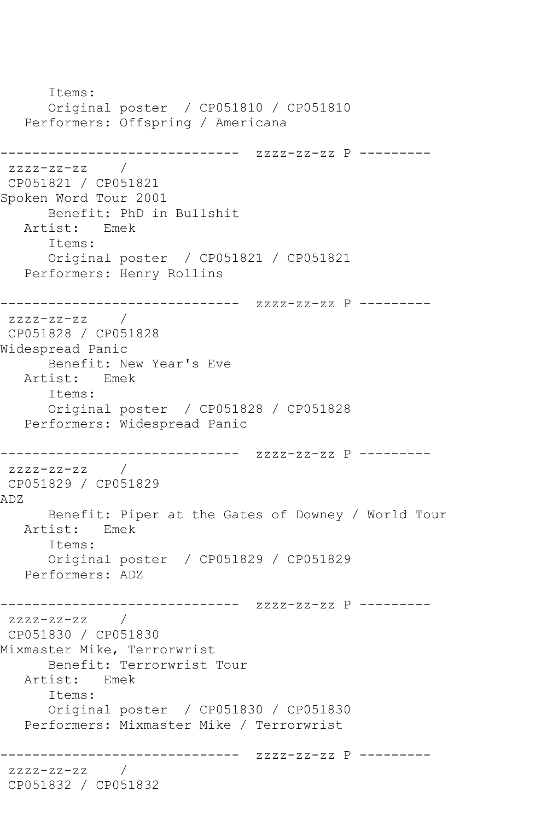Items: Original poster / CP051810 / CP051810 Performers: Offspring / Americana ------------------------------ zzzz-zz-zz P -------- zzzz-zz-zz / CP051821 / CP051821 Spoken Word Tour 2001 Benefit: PhD in Bullshit Artist: Emek Items: Original poster / CP051821 / CP051821 Performers: Henry Rollins ------------------------------ zzzz-zz-zz P -------- zzzz-zz-zz / CP051828 / CP051828 Widespread Panic Benefit: New Year's Eve Artist: Emek Items: Original poster / CP051828 / CP051828 Performers: Widespread Panic ------------------------------ zzzz-zz-zz P --------  $zzzz-zz-zz$  / CP051829 / CP051829 ADZ Benefit: Piper at the Gates of Downey / World Tour Artist: Emek Items: Original poster / CP051829 / CP051829 Performers: ADZ ------------------------------ zzzz-zz-zz P -------- zzzz-zz-zz / CP051830 / CP051830 Mixmaster Mike, Terrorwrist Benefit: Terrorwrist Tour Artist: Emek Items: Original poster / CP051830 / CP051830 Performers: Mixmaster Mike / Terrorwrist ------------------------------ zzzz-zz-zz P -------- zzzz-zz-zz / CP051832 / CP051832